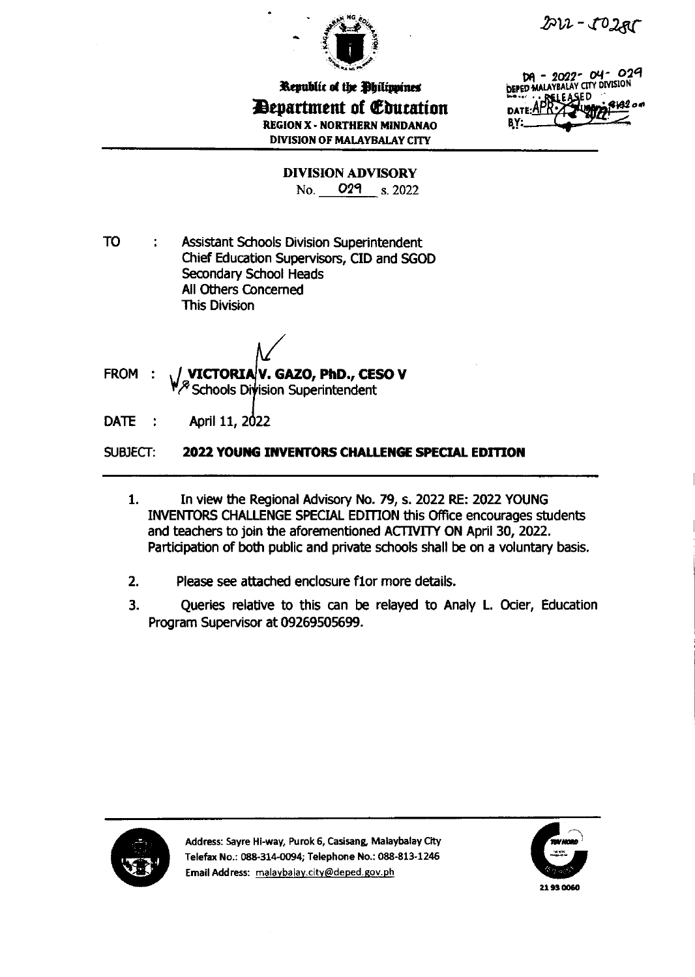



Republic of the Philippines Department of Education **REGION X - NORTHERN MINDANAO DIVISION OF MALAYBALAY CITY** 

DA - 2022-04-029 DEPED MALAYBALAY CITY DIVISION -SF D **DATE:** BY:

**DIVISION ADVISORY** No. 029 s. 2022

**TO** ÷ **Assistant Schools Division Superintendent** Chief Education Supervisors, CID and SGOD Secondary School Heads All Others Concerned **This Division** 

VICTORIAV. GAZO, PhD., CESO V FROM : Schools Division Superintendent

**DATE** April 11, 2022 ×

#### SUBJECT: 2022 YOUNG INVENTORS CHALLENGE SPECIAL EDITION

- In view the Regional Advisory No. 79, s. 2022 RE: 2022 YOUNG  $1.$ INVENTORS CHALLENGE SPECIAL EDITION this Office encourages students and teachers to join the aforementioned ACTIVITY ON April 30, 2022. Participation of both public and private schools shall be on a voluntary basis.
- $2.$ Please see attached enclosure f1or more details.
- $3.$ Queries relative to this can be relayed to Analy L. Ocier, Education Program Supervisor at 09269505699.



Address: Sayre Hi-way, Purok 6, Casisang, Malaybalay City Telefax No.: 088-314-0094; Telephone No.: 088-813-1246 Email Address: malaybalay.city@deped.gov.ph

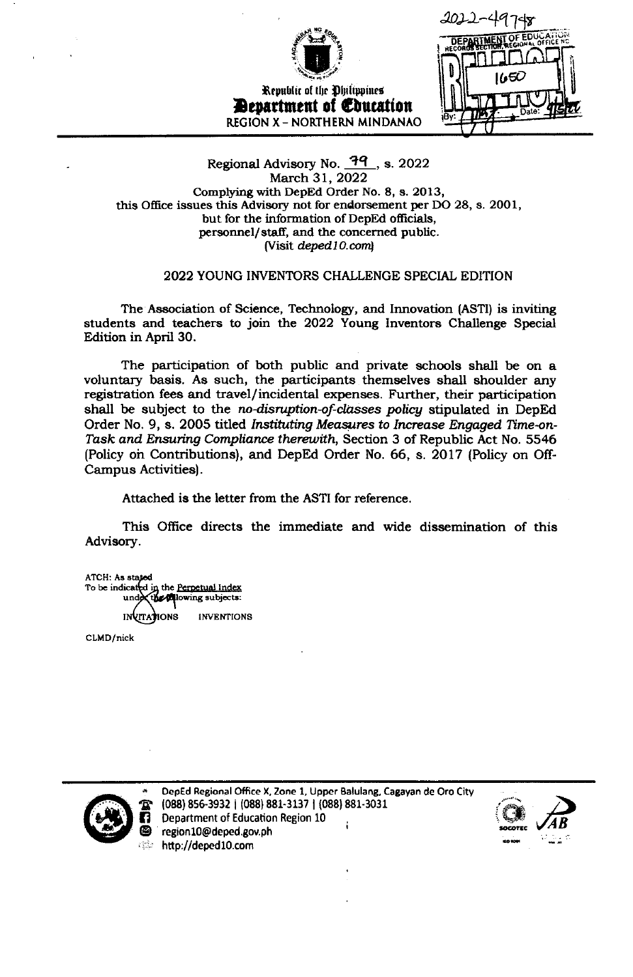

Republic of the Philippines **Devartment of Education REGION X - NORTHERN MINDANAO** 



# Regional Advisory No. **39**, s. 2022 March 31, 2022 Complying with DepEd Order No. 8, s. 2013, this Office issues this Advisory not for endorsement per DO 28, s. 2001, but for the information of DepEd officials, personnel/staff, and the concerned public. (Visit deped 10.com)

# 2022 YOUNG INVENTORS CHALLENGE SPECIAL EDITION

The Association of Science, Technology, and Innovation (ASTI) is inviting students and teachers to join the 2022 Young Inventors Challenge Special Edition in April 30.

The participation of both public and private schools shall be on a voluntary basis. As such, the participants themselves shall shoulder any registration fees and travel/incidental expenses. Further, their participation shall be subject to the no-disruption-of-classes policy stipulated in DepEd Order No. 9, s. 2005 titled Instituting Measures to Increase Engaged Time-on-Task and Ensuring Compliance therewith, Section 3 of Republic Act No. 5546 (Policy on Contributions), and DepEd Order No. 66, s. 2017 (Policy on Off-Campus Activities).

Attached is the letter from the ASTI for reference.

This Office directs the immediate and wide dissemination of this Advisory.

ATCH: As stated To be indicated in the Perpetual Index **Allowing** subjects: **INVITATIONS INVENTIONS** 

CLMD/nick



DepEd Regional Office X, Zone 1, Upper Balulang, Cagayan de Oro City (088) 856-3932 | (088) 881-3137 | (088) 881-3031 Department of Education Region 10 region10@deped.gov.ph http://deped10.com

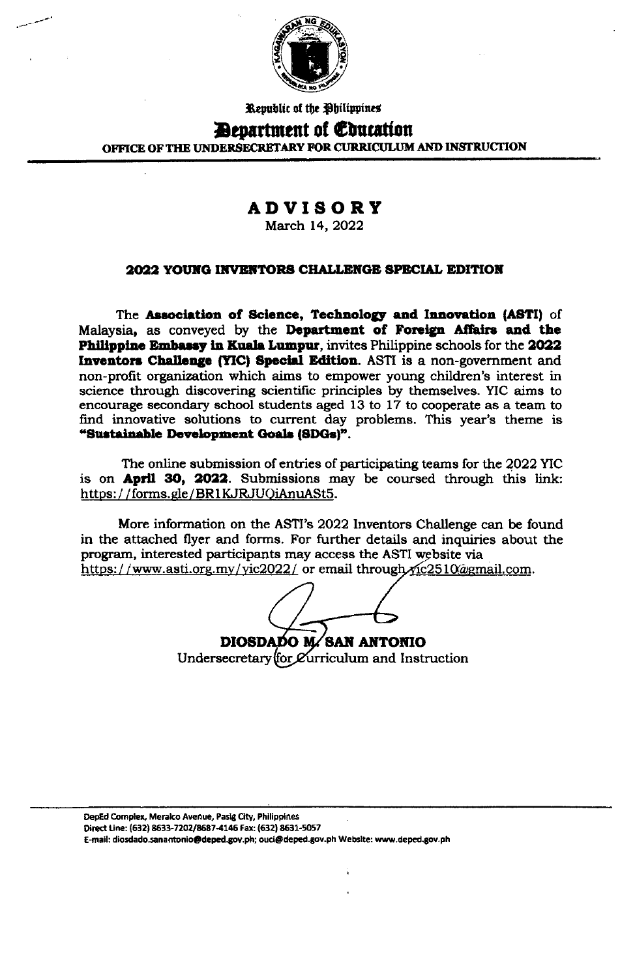

Republic of the Philippines

# **Devartment of Education**

OFFICE OF THE UNDERSECRETARY FOR CURRICULUM AND INSTRUCTION

# **ADVISORY**

March 14, 2022

# 2022 YOUNG INVENTORS CHALLENGE SPECIAL EDITION

The Association of Science, Technology and Innovation (ASTI) of Malaysia, as conveyed by the Department of Foreign Affairs and the Philippine Embassy in Kuala Lumpur, invites Philippine schools for the 2022 Inventors Challenge (YIC) Special Edition. ASTI is a non-government and non-profit organization which aims to empower young children's interest in science through discovering scientific principles by themselves. YIC aims to encourage secondary school students aged 13 to 17 to cooperate as a team to find innovative solutions to current day problems. This year's theme is "Sustainable Development Goals (SDGs)".

The online submission of entries of participating teams for the 2022 YIC is on April 30, 2022. Submissions may be coursed through this link: https://forms.gle/BR1KJRJUQiAnuASt5.

More information on the ASTI's 2022 Inventors Challenge can be found in the attached flyer and forms. For further details and inquiries about the program, interested participants may access the ASTI website via https://www.asti.org.my/yic2022/ or email through yic2510@gmail.com.

DIOSDADO M/SAN ANTONIO Undersecretary (for *C*urriculum and Instruction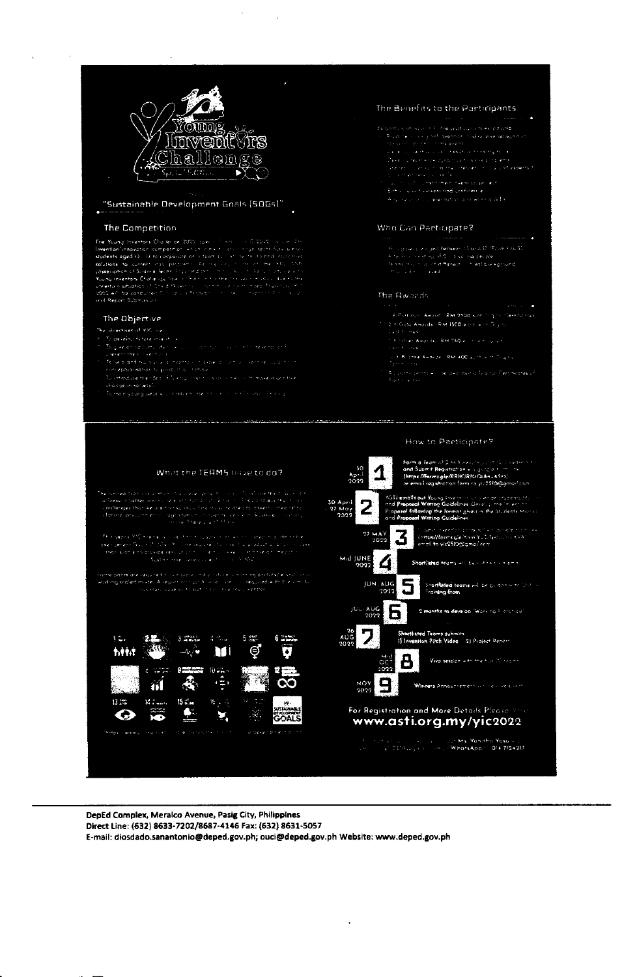

#### "Sustainable Development Goals [50Gs]"

#### The Competition

The Municipal Procedure (Daller per 2005) space of the collection of 2002, which The Municipal Consenter services and the state of the state of the state of the state of the state of the state of the state of the state of

### The Objective

.<br>Ne objectives of MiC ove

- de deseño tstare miestos.<br>To gike on epoutu du tois la roco da ritorio du dobit sele spilondo.<br>Jelekent the rocket trans.
- unerent their coentracts<br>The second history of a mental consider a coentral companies to increase and the coentral curvations<br>and operations the data of Nortral coentracts in the coentracts of the Transport to the Universi
- 
- 

#### The Benefits to the Participants

- 
- 
- 
- 
- 

#### Who Can Participate?

 $\begin{minipage}{0.9\textwidth} \begin{minipage}{0.9\textwidth} \begin{itemize} \color{red}{\textbf{f}_{\text{G}}(x,y) \text{ is a square}} \end{itemize} \begin{minipage}{0.9\textwidth} \begin{minipage}{0.9\textwidth} \begin{itemize} \color{red}{\textbf{f}_{\text{G}}(x,y) \text{ is a square}} \end{itemize} \end{minipage} \begin{minipage}{0.9\textwidth} \begin{itemize} \color{red}{\textbf{f}_{\text{G}}(x,y) \text{ is a square}} \end{itemize} \end{minipage} \begin{minipage}{0.9\textwidth} \begin{itemize$ 

#### The Rwands

- X Pozimum Aleural i <mark>RM 2500</mark> wah <sup>s</sup>ing na "Serabannek"<br>2.⊀ Gota Awords i RM 1500 ø er i wire Dijino
	-
	- .<br>Tit höller Awards RM 750 ellir i Articulism
	- san ing saka<br>Sunti Bilomet Akorde i RAF400 vulttik millagas.<br>Den Killaye
	-



DepEd Complex, Meralco Avenue, Pasig City, Philippines Direct Line: (632) 8633-7202/8687-4146 Fax: (632) 8631-5057 E-mail: diosdado.sanantonio@deped.gov.ph; ouci@deped.gov.ph Website: www.deped.gov.ph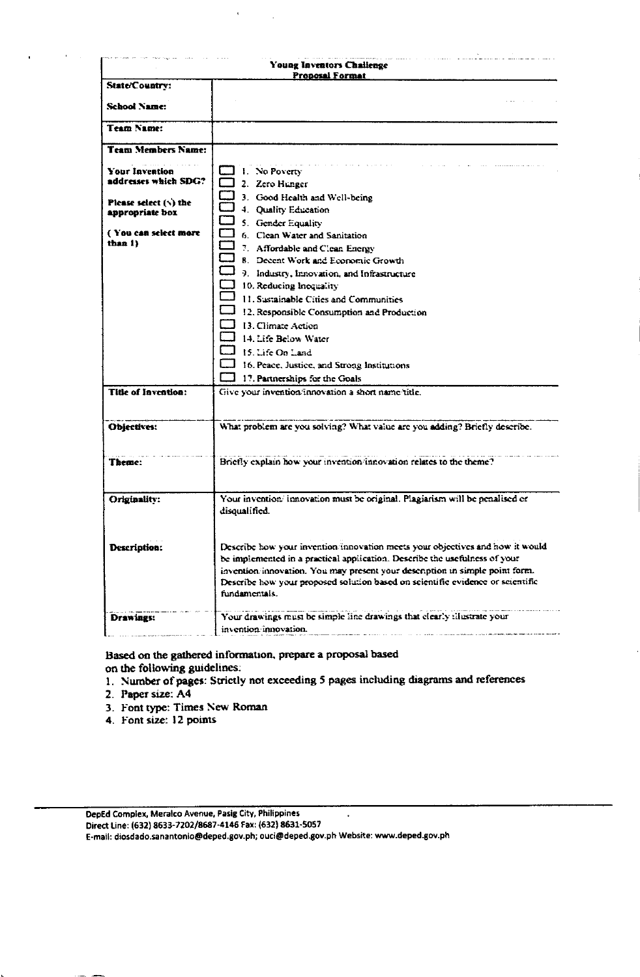| <b>Young Inventors Challenge</b><br><b>Proposal Format</b> |                                                                                                                                                                                                                                                                                                                                               |  |  |
|------------------------------------------------------------|-----------------------------------------------------------------------------------------------------------------------------------------------------------------------------------------------------------------------------------------------------------------------------------------------------------------------------------------------|--|--|
| State/Country:                                             |                                                                                                                                                                                                                                                                                                                                               |  |  |
| <b>School Name:</b>                                        |                                                                                                                                                                                                                                                                                                                                               |  |  |
| <b>Team Name:</b>                                          |                                                                                                                                                                                                                                                                                                                                               |  |  |
| <b>Team Members Name:</b>                                  |                                                                                                                                                                                                                                                                                                                                               |  |  |
| Your Invention<br>addresses which SDG?                     | 1. No Poverty<br>2. Zero Hunger                                                                                                                                                                                                                                                                                                               |  |  |
| Please select $(\cdot)$ the<br>appropriate box             | 3. Good Health and Well-being<br>4. Quality Education<br>5. Gender Equality                                                                                                                                                                                                                                                                   |  |  |
| (You can select more<br>than 1)                            | 6. Clean Water and Sanitation<br>7. Affordable and Clean Energy                                                                                                                                                                                                                                                                               |  |  |
|                                                            | 8. Decent Work and Economic Growth                                                                                                                                                                                                                                                                                                            |  |  |
|                                                            | 9. Industry, Innovation, and Infrastructure                                                                                                                                                                                                                                                                                                   |  |  |
|                                                            | 10. Reducing Inequality                                                                                                                                                                                                                                                                                                                       |  |  |
|                                                            | 11. Sustainable Cities and Communities                                                                                                                                                                                                                                                                                                        |  |  |
|                                                            | 12. Responsible Consumption and Production                                                                                                                                                                                                                                                                                                    |  |  |
|                                                            | 13. Climate Action                                                                                                                                                                                                                                                                                                                            |  |  |
|                                                            | 14. Life Below Water                                                                                                                                                                                                                                                                                                                          |  |  |
|                                                            | 15. Life On Land                                                                                                                                                                                                                                                                                                                              |  |  |
|                                                            | 1 16. Peace, Justice, and Strong Institutions                                                                                                                                                                                                                                                                                                 |  |  |
| Title of Invention:                                        | 17. Partnerships for the Goals<br>Give your invention innovation a short name/title.                                                                                                                                                                                                                                                          |  |  |
|                                                            |                                                                                                                                                                                                                                                                                                                                               |  |  |
| Objectives:                                                | What problem are you solving? What value are you adding? Briefly describe.                                                                                                                                                                                                                                                                    |  |  |
| <b>Theme:</b>                                              | Briefly explain how your invention/innovation relates to the theme?                                                                                                                                                                                                                                                                           |  |  |
| Originality:                                               | Your invention/innovation must be original. Plagiarism will be penalised or<br>disqualified.                                                                                                                                                                                                                                                  |  |  |
| Description:                                               | Describe how your invention/innovation meets your objectives and how it would<br>be implemented in a practical application. Describe the usefulness of your<br>invention/innovation. You may present your desemption in simple point form.<br>Describe how your proposed solution based on scientific evidence or scientific<br>fundamentals. |  |  |
| Drawings:                                                  | Your drawings must be simple line drawings that elearly illustrate your<br>invention innovation.                                                                                                                                                                                                                                              |  |  |

Based on the gathered information, prepare a proposal based on the following guidelines:

 $\ddot{\phantom{a}}$ 

- 1. Number of pages: Strictly not exceeding 5 pages including diagrams and references
- 2. Paper size: A4
- 3. Font type: Times New Roman
- 4. Font size: 12 points